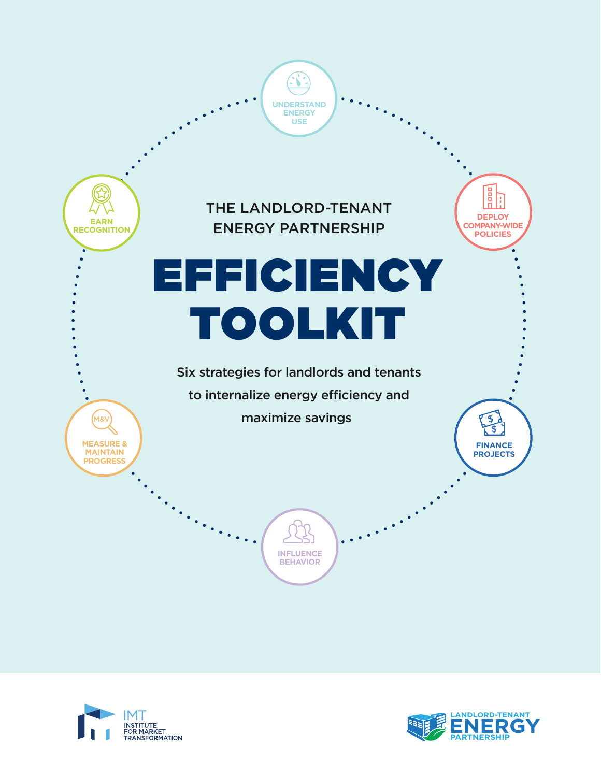



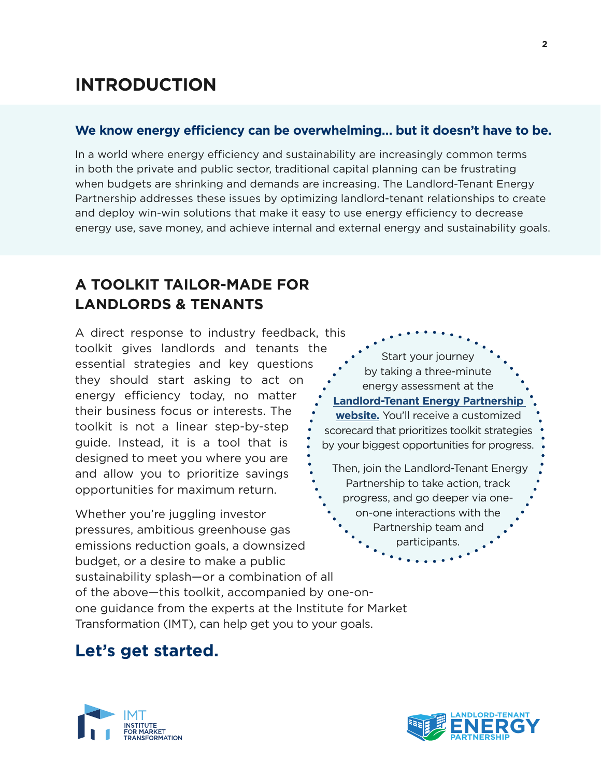# **INTRODUCTION**

## **We know energy efficiency can be overwhelming… but it doesn't have to be.**

In a world where energy efficiency and sustainability are increasingly common terms in both the private and public sector, traditional capital planning can be frustrating when budgets are shrinking and demands are increasing. The Landlord-Tenant Energy Partnership addresses these issues by optimizing landlord-tenant relationships to create and deploy win-win solutions that make it easy to use energy efficiency to decrease energy use, save money, and achieve internal and external energy and sustainability goals.

# **A TOOLKIT TAILOR-MADE FOR LANDLORDS & TENANTS**

A direct response to industry feedback, this toolkit gives landlords and tenants the essential strategies and key questions they should start asking to act on energy efficiency today, no matter their business focus or interests. The toolkit is not a linear step-by-step guide. Instead, it is a tool that is designed to meet you where you are and allow you to prioritize savings opportunities for maximum return.

Whether you're juggling investor pressures, ambitious greenhouse gas emissions reduction goals, a downsized budget, or a desire to make a public sustainability splash—or a combination of all

Start your journey by taking a three-minute energy assessment at the **[Landlord-Tenant Energy Partnership](https://www.imt.org/making-buildings-more-efficient/owners-and-tenants/landlord-tenant-energy-partnership/)  [website.](https://www.imt.org/making-buildings-more-efficient/owners-and-tenants/landlord-tenant-energy-partnership/)** You'll receive a customized scorecard that prioritizes toolkit strategies by your biggest opportunities for progress. Then, join the Landlord-Tenant Energy Partnership to take action, track progress, and go deeper via oneon-one interactions with the Partnership team and participants.

of the above—this toolkit, accompanied by one-onone guidance from the experts at the Institute for Market Transformation (IMT), can help get you to your goals.

# **Let's get started.**



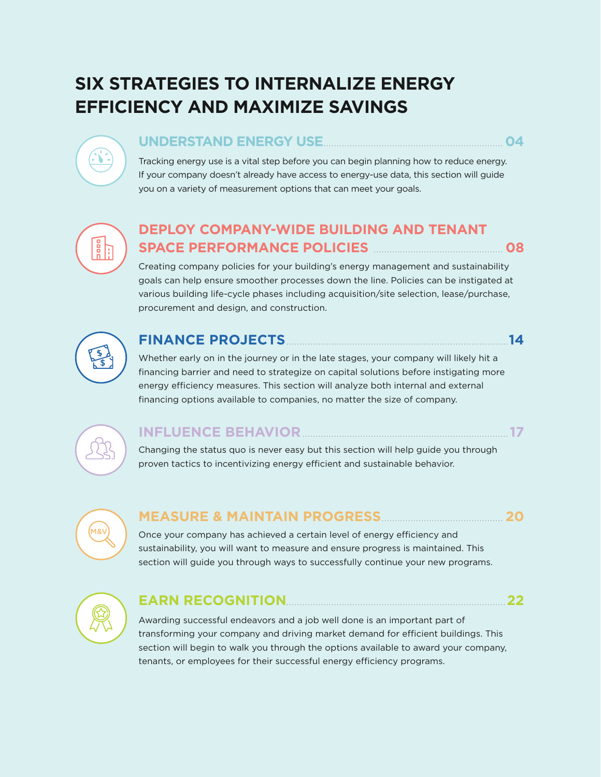# **SIX STRATEGIES TO INTERNALIZE ENERGY EFFICIENCY AND MAXIMIZE SAVINGS**

## **UNDERSTAND ENERGY USE**.................................................................... **04**

Tracking energy use is a vital step before you can begin planning how to reduce energy. If your company doesn't already have access to energy-use data, this section will guide you on a variety of measurement options that can meet your goals.

# 

 $\sum$ 

## **DEPLOY COMPANY-WIDE BUILDING AND TENANT SPACE PERFORMANCE POLICIES** ................................................. **08**

Creating company policies for your building's energy management and sustainability goals can help ensure smoother processes down the line. Policies can be instigated at various building life-cycle phases including acquisition/site selection, lease/purchase, procurement and design, and construction.



## **FINANCE PROJECTS**....................................................................................**14**

Whether early on in the journey or in the late stages, your company will likely hit a financing barrier and need to strategize on capital solutions before instigating more energy efficiency measures. This section will analyze both internal and external financing options available to companies, no matter the size of company.



## **INFLUENCE BEHAVIOR**.............................................................................. **17**

Changing the status quo is never easy but this section will help guide you through proven tactics to incentivizing energy efficient and sustainable behavior.



## **MEASURE & MAINTAIN PROGRESS**.............................................. **20**

Once your company has achieved a certain level of energy efficiency and sustainability, you will want to measure and ensure progress is maintained. This section will guide you through ways to successfully continue your new programs.



## **EARN RECOGNITION**...................................................................................**22**

Awarding successful endeavors and a job well done is an important part of transforming your company and driving market demand for efficient buildings. This section will begin to walk you through the options available to award your company, tenants, or employees for their successful energy efficiency programs.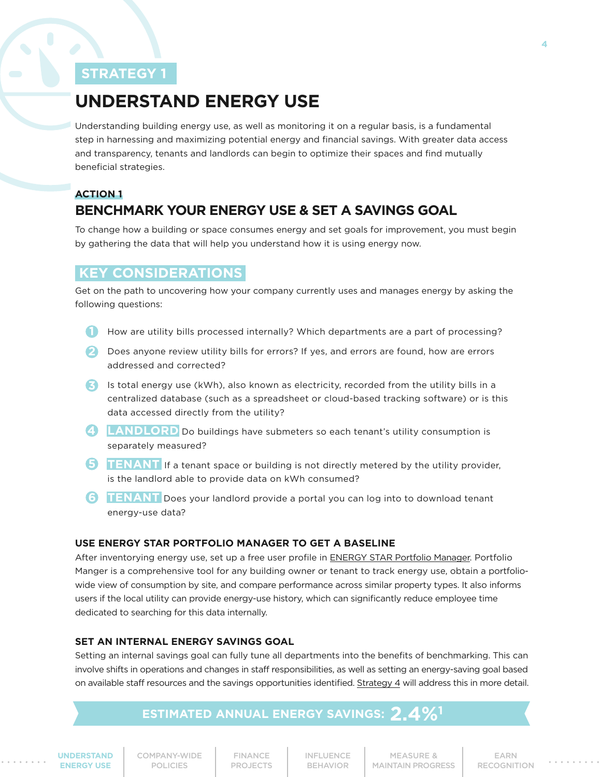# <span id="page-3-0"></span>**UNDERSTAND ENERGY USE**

Understanding building energy use, as well as monitoring it on a regular basis, is a fundamental step in harnessing and maximizing potential energy and financial savings. With greater data access and transparency, tenants and landlords can begin to optimize their spaces and find mutually beneficial strategies.

## **ACTION 1 BENCHMARK YOUR ENERGY USE & SET A SAVINGS GOAL**

To change how a building or space consumes energy and set goals for improvement, you must begin by gathering the data that will help you understand how it is using energy now.

## **KEY CONSIDERATIONS**

Get on the path to uncovering how your company currently uses and manages energy by asking the following questions:

- **1** How are utility bills processed internally? Which departments are a part of processing?
- 2 Does anyone review utility bills for errors? If yes, and errors are found, how are errors addressed and corrected?
- Is total energy use (kWh), also known as electricity, recorded from the utility bills in a **3** centralized database (such as a spreadsheet or cloud-based tracking software) or is this data accessed directly from the utility?
- **LANDLORD** Do buildings have submeters so each tenant's utility consumption is separately measured?
- **TENANT** If a tenant space or building is not directly metered by the utility provider, is the landlord able to provide data on kWh consumed?
- **6** TENANT Does your landlord provide a portal you can log into to download tenant energy-use data?

#### **USE ENERGY STAR PORTFOLIO MANAGER TO GET A BASELINE**

After inventorying energy use, set up a free user profile in [ENERGY STAR Portfolio Manager.](https://www.energystar.gov/buildings/facility-owners-and-managers/existing-buildings/use-portfolio-manager) Portfolio Manger is a comprehensive tool for any building owner or tenant to track energy use, obtain a portfoliowide view of consumption by site, and compare performance across similar property types. It also informs users if the local utility can provide energy-use history, which can significantly reduce employee time dedicated to searching for this data internally.

#### **SET AN INTERNAL ENERGY SAVINGS GOAL**

Setting an internal savings goal can fully tune all departments into the benefits of benchmarking. This can involve shifts in operations and changes in staff responsibilities, as well as setting an energy-saving goal based on available staff resources and the savings opportunities identified. [Strategy 4](#page-16-0) will address this in more detail.

## **ESTIMATED ANNUAL ENERGY SAVINGS: 2**

**UNDERSTAND ENERGY USE**

[COMPANY-WIDE](#page-7-0) POLICIES

FINANCE [PROJECTS](#page-13-0) [INFLUENCE](#page-16-0) BEHAVIOR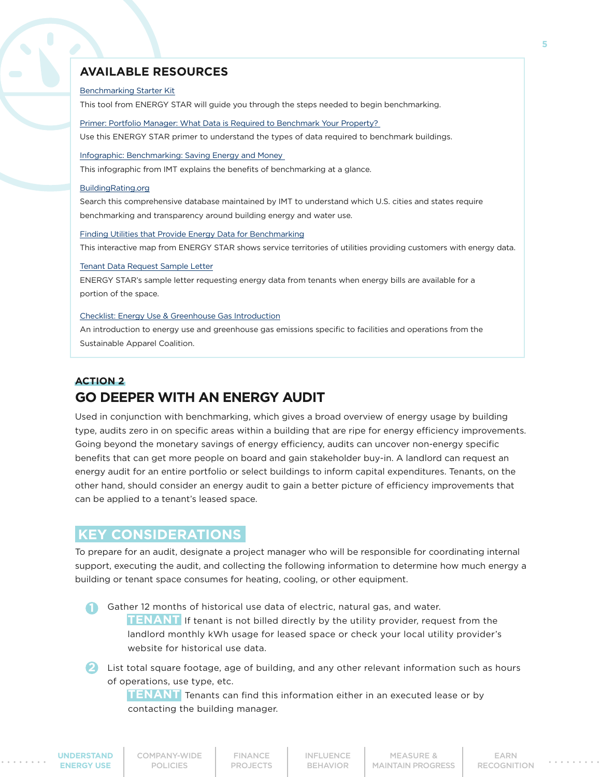#### **AVAILABLE RESOURCES**

#### [Benchmarking Starter Kit](https://www.energystar.gov/buildings/facility-owners-and-managers/existing-buildings/use-portfolio-manager/get-started-benchmarking)

This tool from ENERGY STAR will guide you through the steps needed to begin benchmarking.

[Primer: Portfolio Manager: What Data is Required to Benchmark Your Property?](https://portfoliomanager.energystar.gov/pm/dataCollectionWorksheet)

Use this ENERGY STAR primer to understand the types of data required to benchmark buildings.

[Infographic: Benchmarking: Saving Energy and Money](http://www.imt.org/resources/detail/benchmarking-saving-energy-and-money) 

This infographic from IMT explains the benefits of benchmarking at a glance.

#### [BuildingRating.org](https://www.buildingrating.org/)

Search this comprehensive database maintained by IMT to understand which U.S. cities and states require benchmarking and transparency around building energy and water use.

[Finding Utilities that Provide Energy Data for Benchmarking](https://www.energystar.gov/buildings/owners_and_managers/existing_buildings/use_portfolio_manager/find_utilities_provide_data_benchmarking)

This interactive map from ENERGY STAR shows service territories of utilities providing customers with energy data.

#### [Tenant Data Request Sample Letter](https://www.energystar.gov/buildings/tools-and-resources/tenant-data-request-sample-letter)

ENERGY STAR's sample letter requesting energy data from tenants when energy bills are available for a portion of the space.

#### [Checklist: Energy Use & Greenhouse Gas Introduction](https://apparelcoalition.org/higg-facility-tools/)

An introduction to energy use and greenhouse gas emissions specific to facilities and operations from the Sustainable Apparel Coalition.

## **ACTION 2 GO DEEPER WITH AN ENERGY AUDIT**

Used in conjunction with benchmarking, which gives a broad overview of energy usage by building type, audits zero in on specific areas within a building that are ripe for energy efficiency improvements. Going beyond the monetary savings of energy efficiency, audits can uncover non-energy specific benefits that can get more people on board and gain stakeholder buy-in. A landlord can request an energy audit for an entire portfolio or select buildings to inform capital expenditures. Tenants, on the other hand, should consider an energy audit to gain a better picture of efficiency improvements that can be applied to a tenant's leased space.

## **KEY CONSIDERATIONS**

To prepare for an audit, designate a project manager who will be responsible for coordinating internal support, executing the audit, and collecting the following information to determine how much energy a building or tenant space consumes for heating, cooling, or other equipment.

Gather 12 months of historical use data of electric, natural gas, and water. **TENANT** If tenant is not billed directly by the utility provider, request from the landlord monthly kWh usage for leased space or check your local utility provider's website for historical use data.

2 List total square footage, age of building, and any other relevant information such as hours of operations, use type, etc.

**TENANT** Tenants can find this information either in an executed lease or by contacting the building manager.

**[UNDERSTAND](#page-3-0)  ENERGY USE**

[INFLUENCE](#page-16-0) BEHAVIOR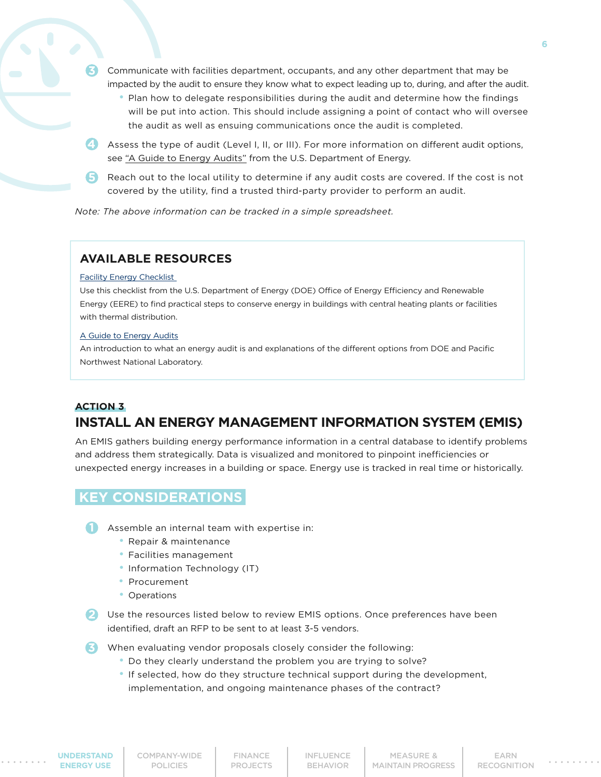- Communicate with facilities department, occupants, and any other department that may be impacted by the audit to ensure they know what to expect leading up to, during, and after the audit.
	- Plan how to delegate responsibilities during the audit and determine how the findings will be put into action. This should include assigning a point of contact who will oversee the audit as well as ensuing communications once the audit is completed.
- see <u>["A Guide to Energy Audits"](https://www.pnnl.gov/main/publications/external/technical_reports/PNNL-20956.pdf)</u> from the U.S. Department of Energy.<br> **4** Assess the type of audit (Level I, II, or III). For more information on different audit options,
- **5** Reach out to the local utility to determine if any audit costs are covered. If the cost is not covered by the utility, find a trusted third-party provider to perform an audit.

*Note: The above information can be tracked in a simple spreadsheet.*

#### **AVAILABLE RESOURCES**

#### [Facility Energy Checklist](https://energy.gov/eere/femp/facility-energy-checklist)

**3**

Use this checklist from the U.S. Department of Energy (DOE) Office of Energy Efficiency and Renewable Energy (EERE) to find practical steps to conserve energy in buildings with central heating plants or facilities with thermal distribution.

#### [A Guide to Energy Audits](https://www.pnnl.gov/main/publications/external/technical_reports/PNNL-20956.pdf)

An introduction to what an energy audit is and explanations of the different options from DOE and Pacific Northwest National Laboratory.

#### **ACTION 3**

## **INSTALL AN ENERGY MANAGEMENT INFORMATION SYSTEM (EMIS)**

An EMIS gathers building energy performance information in a central database to identify problems and address them strategically. Data is visualized and monitored to pinpoint inefficiencies or unexpected energy increases in a building or space. Energy use is tracked in real time or historically.

## **KEY CONSIDERATIONS**

Assemble an internal team with expertise in:

- Repair & maintenance
- Facilities management
- Information Technology (IT)
- Procurement
- Operations

2 Use the resources listed below to review EMIS options. Once preferences have been identified, draft an RFP to be sent to at least 3-5 vendors.

When evaluating vendor proposals closely consider the following: **3**

- Do they clearly understand the problem you are trying to solve?
- If selected, how do they structure technical support during the development, implementation, and ongoing maintenance phases of the contract?

**[UNDERSTAND](#page-3-0)  ENERGY USE**

[COMPANY-WIDE](#page-7-0) POLICIES

FINANCE [PROJECTS](#page-13-0) [INFLUENCE](#page-16-0) BEHAVIOR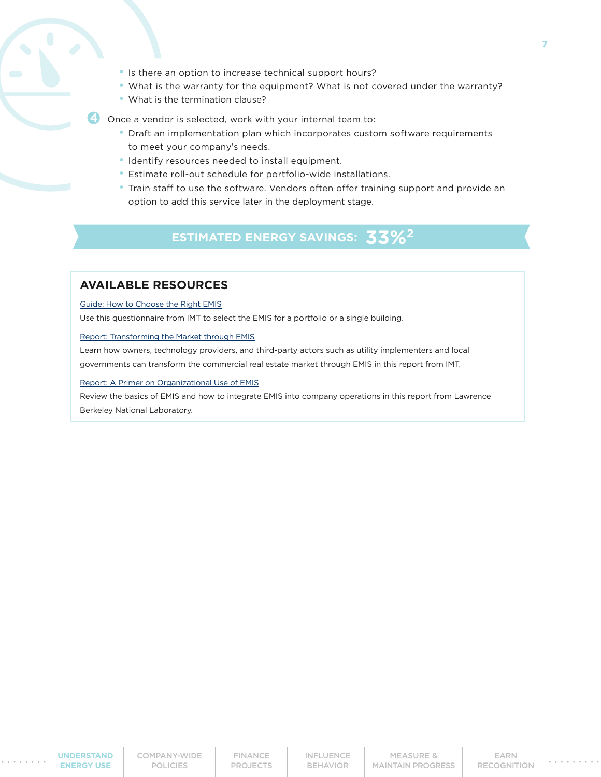- Is there an option to increase technical support hours?
- What is the warranty for the equipment? What is not covered under the warranty?
- What is the termination clause?

**4** Once a vendor is selected, work with your internal team to:

- Draft an implementation plan which incorporates custom software requirements to meet your company's needs.
- Identify resources needed to install equipment.
- Estimate roll-out schedule for portfolio-wide installations.
- Train staff to use the software. Vendors often offer training support and provide an option to add this service later in the deployment stage.

## **ESTIMATED ENERGY SAVINGS: 3**

#### **AVAILABLE RESOURCES**

[Guide: How to Choose the Right EMIS](http://www.imt.org/uploads/resources/files/Energy_Management_Information_Systems_Questionnaire.pdf)

Use this questionnaire from IMT to select the EMIS for a portfolio or a single building.

#### [Report: Transforming the Market through EMIS](http://www.imt.org/uploads/resources/files/Transforming_the_Market_Through_Energy_Management_Information_Systems.pdf)

Learn how owners, technology providers, and third-party actors such as utility implementers and local governments can transform the commercial real estate market through EMIS in this report from IMT.

#### [Report: A Primer on Organizational Use of EMIS](https://betterbuildingssolutioncenter.energy.gov/sites/default/files/attachments/A_Primer_on_Organizational_Use_of_EMIS_V1.1.pdf)

Review the basics of EMIS and how to integrate EMIS into company operations in this report from Lawrence Berkeley National Laboratory.

[INFLUENCE](#page-16-0) BEHAVIOR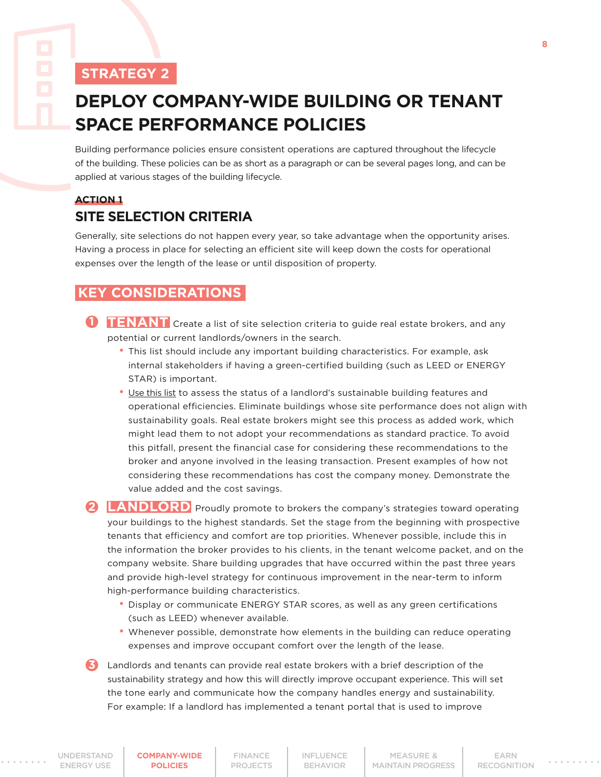# <span id="page-7-0"></span>**DEPLOY COMPANY-WIDE BUILDING OR TENANT SPACE PERFORMANCE POLICIES**

Building performance policies ensure consistent operations are captured throughout the lifecycle of the building. These policies can be as short as a paragraph or can be several pages long, and can be applied at various stages of the building lifecycle.

## **ACTION 1 SITE SELECTION CRITERIA**

Generally, site selections do not happen every year, so take advantage when the opportunity arises. Having a process in place for selecting an efficient site will keep down the costs for operational expenses over the length of the lease or until disposition of property.

## **KEY CONSIDERATIONS**

- **1 INANT** Create a list of site selection criteria to guide real estate brokers, and any potential or current landlords/owners in the search.
	- This list should include any important building characteristics. For example, ask internal stakeholders if having a green-certified building (such as LEED or ENERGY STAR) is important.
	- [Use this list](https://www.imt.org/wp-content/uploads/2018/02/Green_Leasing_Questionnaire_for_Tenants.pdf) to assess the status of a landlord's sustainable building features and operational efficiencies. Eliminate buildings whose site performance does not align with sustainability goals. Real estate brokers might see this process as added work, which might lead them to not adopt your recommendations as standard practice. To avoid this pitfall, present the financial case for considering these recommendations to the broker and anyone involved in the leasing transaction. Present examples of how not considering these recommendations has cost the company money. Demonstrate the value added and the cost savings.

**2 LANDLORD** Proudly promote to brokers the company's strategies toward operating your buildings to the highest standards. Set the stage from the beginning with prospective tenants that efficiency and comfort are top priorities. Whenever possible, include this in the information the broker provides to his clients, in the tenant welcome packet, and on the company website. Share building upgrades that have occurred within the past three years and provide high-level strategy for continuous improvement in the near-term to inform high-performance building characteristics.

- Display or communicate ENERGY STAR scores, as well as any green certifications (such as LEED) whenever available.
- Whenever possible, demonstrate how elements in the building can reduce operating expenses and improve occupant comfort over the length of the lease.

**3** Landlords and tenants can provide real estate brokers with a brief description of the sustainability strategy and how this will directly improve occupant experience. This will set the tone early and communicate how the company handles energy and sustainability. For example: If a landlord has implemented a tenant portal that is used to improve

**8**

**COMPANY-WIDE POLICIES**

FINANCE [PROJECTS](#page-13-0) [INFLUENCE](#page-16-0) BEHAVIOR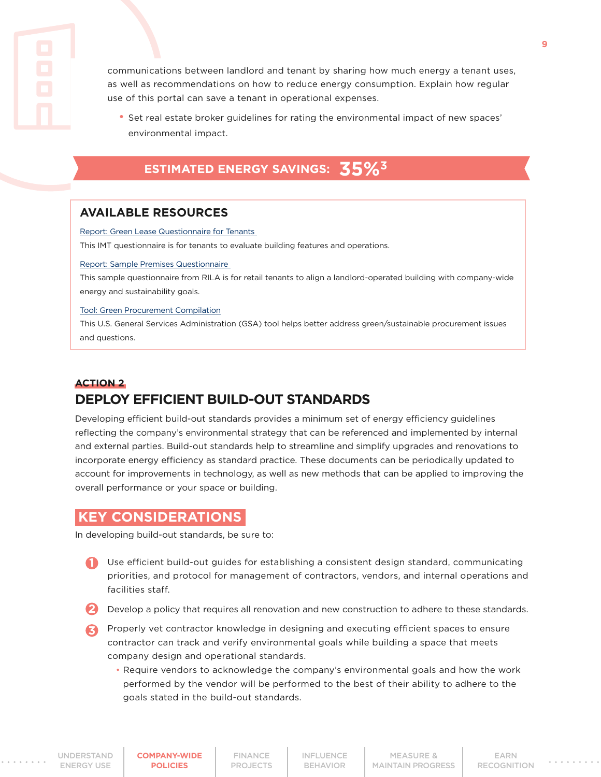communications between landlord and tenant by sharing how much energy a tenant uses, as well as recommendations on how to reduce energy consumption. Explain how regular use of this portal can save a tenant in operational expenses.

 • Set real estate broker guidelines for rating the environmental impact of new spaces' environmental impact.

## **ESTIMATED ENERGY SAVINGS:** 35%<sup>3</sup>

## **AVAILABLE RESOURCES**

[Report: Green Lease Questionnaire for Tenants](http://www.imt.org/uploads/resources/files/Green_Leasing_Questionnaire_for_Tenants.pdf)

This IMT questionnaire is for tenants to evaluate building features and operations.

#### [Report: Sample Premises Questionnaire](https://www.rila.org/focus-areas/sustainability-environment/landlord-collaboration)

This sample questionnaire from RILA is for retail tenants to align a landlord-operated building with company-wide energy and sustainability goals.

[Tool: Green Procurement Compilation](https://sftool.gov/greenprocurement)

This U.S. General Services Administration (GSA) tool helps better address green/sustainable procurement issues and questions.

## **ACTION 2 DEPLOY EFFICIENT BUILD-OUT STANDARDS**

Developing efficient build-out standards provides a minimum set of energy efficiency guidelines reflecting the company's environmental strategy that can be referenced and implemented by internal and external parties. Build-out standards help to streamline and simplify upgrades and renovations to incorporate energy efficiency as standard practice. These documents can be periodically updated to account for improvements in technology, as well as new methods that can be applied to improving the overall performance or your space or building.

## **KEY CONSIDERATIONS**

In developing build-out standards, be sure to:

- **1** Use efficient build-out guides for establishing a consistent design standard, communicating priorities, and protocol for management of contractors, vendors, and internal operations and facilities staff.
- 2 Develop a policy that requires all renovation and new construction to adhere to these standards.
- Properly vet contractor knowledge in designing and executing efficient spaces to ensure **3** contractor can track and verify environmental goals while building a space that meets company design and operational standards.
	- Require vendors to acknowledge the company's environmental goals and how the work performed by the vendor will be performed to the best of their ability to adhere to the goals stated in the build-out standards.

**[COMPANY-WIDE](#page-7-0) POLICIES**

FINANCE [PROJECTS](#page-13-0) [INFLUENCE](#page-16-0) BEHAVIOR

MEASURE & [MAINTAIN PROGRESS](#page-19-0)

EARN [RECOGNITION](#page-21-0)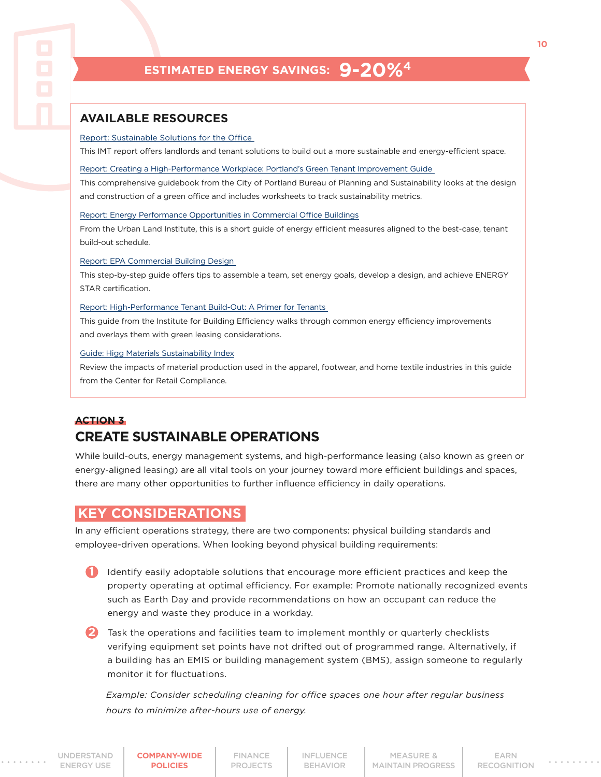## **ESTIMATED ENERGY SAVINGS: 9-20%4**

## **AVAILABLE RESOURCES**

#### [Report: Sustainable Solutions for the Office](http://www.imt.org/uploads/resources/files/TenantLeasingGuide_r06.pdf)

This IMT report offers landlords and tenant solutions to build out a more sustainable and energy-efficient space.

[Report: Creating a High-Performance Workplace: Portland's Green Tenant Improvement Guide](https://www.portlandoregon.gov/bps/article/285215)

This comprehensive guidebook from the City of Portland Bureau of Planning and Sustainability looks at the design and construction of a green office and includes worksheets to track sustainability metrics.

#### [Report: Energy Performance Opportunities in Commercial Office Buildings](http://tenantenergy.uli.org/)

From the Urban Land Institute, this is a short guide of energy efficient measures aligned to the best-case, tenant build-out schedule.

#### [Report: EPA Commercial Building Design](https://www.energystar.gov/buildings/service-providers/design/step-step-process)

This step-by-step guide offers tips to assemble a team, set energy goals, develop a design, and achieve ENERGY STAR certification.

#### [Report: High-Performance Tenant Build-Out: A Primer for Tenants](http://resources.cleanenergyroadmap.com/SCPP_M_High-Performance-Tenant-Buildout-Primer.pdf)

This guide from the Institute for Building Efficiency walks through common energy efficiency improvements and overlays them with green leasing considerations.

#### [Guide: Higg Materials Sustainability Index](https://msi.higg.org/page/msi-home)

Review the impacts of material production used in the apparel, footwear, and home textile industries in this guide from the Center for Retail Compliance.

#### **ACTION 3**

## **CREATE SUSTAINABLE OPERATIONS**

While build-outs, energy management systems, and high-performance leasing (also known as green or energy-aligned leasing) are all vital tools on your journey toward more efficient buildings and spaces, there are many other opportunities to further influence efficiency in daily operations.

## **KEY CONSIDERATIONS**

In any efficient operations strategy, there are two components: physical building standards and employee-driven operations. When looking beyond physical building requirements:

1 Identify easily adoptable solutions that encourage more efficient practices and keep the property operating at optimal efficiency. For example: Promote nationally recognized events such as Earth Day and provide recommendations on how an occupant can reduce the energy and waste they produce in a workday.

2 Task the operations and facilities team to implement monthly or quarterly checklists verifying equipment set points have not drifted out of programmed range. Alternatively, if a building has an EMIS or building management system (BMS), assign someone to regularly monitor it for fluctuations.

 *Example: Consider scheduling cleaning for office spaces one hour after regular business hours to minimize after-hours use of energy.*

[UNDERSTAND](#page-3-0)  ENERGY USE

**[COMPANY-WIDE](#page-7-0) POLICIES**

FINANCE [PROJECTS](#page-13-0) [INFLUENCE](#page-16-0) BEHAVIOR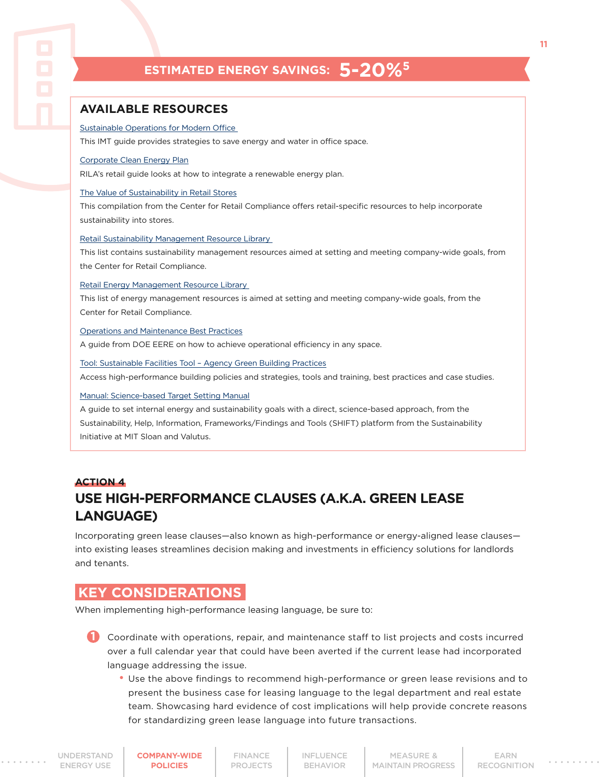## **ESTIMATED ENERGY SAVINGS: 5-20%5**

#### <span id="page-10-0"></span>**AVAILABLE RESOURCES**

#### [Sustainable Operations for Modern Office](http://www.imt.org/uploads/resources/files/TenantGuide_r06.pdf)

This IMT guide provides strategies to save energy and water in office space.

#### [Corporate Clean Energy Plan](https://rilastagemedia.blob.core.windows.net/rila-web/rila.web/media/media/pdfs/sustainability/food-lion-im-project-planning.pdf)

RILA's retail guide looks at how to integrate a renewable energy plan.

#### [The Value of Sustainability in Retail Stores](http://www.retailcrc.org/sustainability/Pages/stakeholders.aspx)

This compilation from the Center for Retail Compliance offers retail-specific resources to help incorporate sustainability into stores.

#### [Retail Sustainability Management Resource Library](http://www.retailcrc.org/sustainability/Pages/Retail-Sustainability-Resource-Library.aspx)

This list contains sustainability management resources aimed at setting and meeting company-wide goals, from the Center for Retail Compliance.

#### [Retail Energy Management Resource Library](http://www.retailcrc.org/sustainability/Pages/Retail-Energy-Resource-Library.aspx)

This list of energy management resources is aimed at setting and meeting company-wide goals, from the Center for Retail Compliance.

#### [Operations and Maintenance Best Practices](https://energy.gov/sites/prod/files/2013/10/f3/omguide_complete.pdf)

A guide from DOE EERE on how to achieve operational efficiency in any space.

#### [Tool: Sustainable Facilities Tool – Agency Green Building Practices](https://sftool.gov/learn/10129/agency-practices)

Access high-performance building policies and strategies, tools and training, best practices and case studies.

#### [Manual: Science-based Target Setting Manual](http://shift.tools/iframe/1436?)

A guide to set internal energy and sustainability goals with a direct, science-based approach, from the Sustainability, Help, Information, Frameworks/Findings and Tools (SHIFT) platform from the Sustainability Initiative at MIT Sloan and Valutus.

## **ACTION 4 USE HIGH-PERFORMANCE CLAUSES (A.K.A. GREEN LEASE LANGUAGE)**

Incorporating green lease clauses—also known as high-performance or energy-aligned lease clauses into existing leases streamlines decision making and investments in efficiency solutions for landlords and tenants.

## **KEY CONSIDERATIONS**

When implementing high-performance leasing language, be sure to:

1 Coordinate with operations, repair, and maintenance staff to list projects and costs incurred over a full calendar year that could have been averted if the current lease had incorporated language addressing the issue.

 • Use the above findings to recommend high-performance or green lease revisions and to present the business case for leasing language to the legal department and real estate team. Showcasing hard evidence of cost implications will help provide concrete reasons for standardizing green lease language into future transactions.

FINANCE [PROJECTS](#page-13-0) [INFLUENCE](#page-16-0) BEHAVIOR

MEASURE & [MAINTAIN PROGRESS](#page-19-0) **11**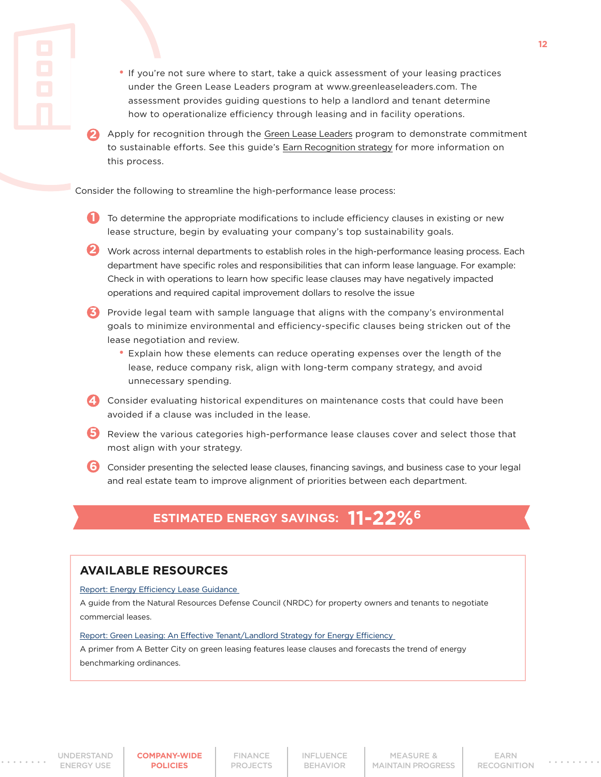- If you're not sure where to start, take a quick assessment of your leasing practices under the Green Lease Leaders program at www.greenleaseleaders.com. The assessment provides guiding questions to help a landlord and tenant determine how to operationalize efficiency through leasing and in facility operations.
- Apply for recognition through the [Green Lease Leaders](http://www.greenleaseleaders.com) program to demonstrate commitment to sustainable efforts. See this guide's [Earn Recognition strategy](#page-21-0) for more information on this process. **2**

Consider the following to streamline the high-performance lease process:

**1** To determine the appropriate modifications to include efficiency clauses in existing or new lease structure, begin by evaluating your company's top sustainability goals.

2 Work across internal departments to establish roles in the high-performance leasing process. Each department have specific roles and responsibilities that can inform lease language. For example: Check in with operations to learn how specific lease clauses may have negatively impacted operations and required capital improvement dollars to resolve the issue

- **3** Provide legal team with sample language that aligns with the company's environmental goals to minimize environmental and efficiency-specific clauses being stricken out of the lease negotiation and review.
	- Explain how these elements can reduce operating expenses over the length of the lease, reduce company risk, align with long-term company strategy, and avoid unnecessary spending.
- **4** Consider evaluating historical expenditures on maintenance costs that could have been avoided if a clause was included in the lease.
- **5** Review the various categories high-performance lease clauses cover and select those that most align with your strategy.
- Consider presenting the selected lease clauses, financing savings, and business case to your legal **6** and real estate team to improve alignment of priorities between each department.

## **ESTIMATED ENERGY SAVINGS:** 11-22%

#### **AVAILABLE RESOURCES**

[Report: Energy Efficiency Lease Guidance](https://www.nrdc.org/sites/default/files/CMI-FS-Energy.pdf)

A guide from the Natural Resources Defense Council (NRDC) for property owners and tenants to negotiate commercial leases.

Report: Green Leasing: An Effective Tenant/Landlord Strategy for Energy Efficiency

A primer from A Better City on green leasing features lease clauses and forecasts the trend of energy benchmarking ordinances.

**12**

**[COMPANY-WIDE](#page-7-0) POLICIES**

FINANCE [PROJECTS](#page-13-0) [INFLUENCE](#page-16-0) BEHAVIOR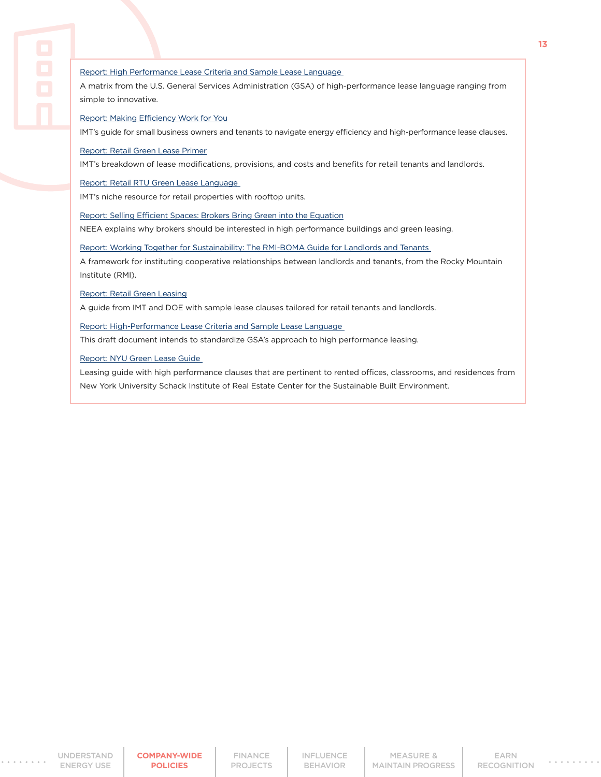A matrix from the U.S. General Services Administration (GSA) of high-performance lease language ranging from simple to innovative.

[Report: Making Efficiency Work for You](http://www.imt.org/uploads/resources/files/Making_Efficiency_Work_for_You.pdf)

IMT's guide for small business owners and tenants to navigate energy efficiency and high-performance lease clauses.

[Report: Retail Green Lease Primer](http://www.imt.org/uploads/resources/files/Retail_Green_Lease_Primer_-_RILA-IMT.pdf)

IMT's breakdown of lease modifications, provisions, and costs and benefits for retail tenants and landlords.

[Report: Retail RTU Green Lease Language](http://www.imt.org/uploads/resources/files/Retail_RTU_Lease_Language.pdf)

IMT's niche resource for retail properties with rooftop units.

[Report: Selling Efficient Spaces: Brokers Bring Green into the Equation](https://betterbricks.com/resources/selling-efficient-spaces-brokers-bring-green-into-the-equation)

NEEA explains why brokers should be interested in high performance buildings and green leasing.

[Report: Working Together for Sustainability: The RMI-BOMA Guide for Landlords and Tenants](https://rmi.org/insight/working-together-for-sustainability-the-rmi-boma-guide-for-landlords-and-tenants/)

A framework for instituting cooperative relationships between landlords and tenants, from the Rocky Mountain Institute (RMI).

[Report: Retail Green Leasing](http://www.greenleaselibrary.com/uploads/7/4/8/7/7487823/retail_green_leasing.pdf)

A guide from IMT and DOE with sample lease clauses tailored for retail tenants and landlords.

[Report: High-Performance Lease Criteria and Sample Lease Language](https://gsa.gov/portal/mediaId/154630/fileName/GBAC_HP_Leasing_Criteria_-_FINAL.action)

This draft document intends to standardize GSA's approach to high performance leasing.

[Report: NYU Green Lease Guide](https://docplayer.net/14204934-New-york-university-green-lease-guide.html)

Leasing guide with high performance clauses that are pertinent to rented offices, classrooms, and residences from New York University Schack Institute of Real Estate Center for the Sustainable Built Environment.

[INFLUENCE](#page-16-0) BEHAVIOR

MEASURE & [MAINTAIN PROGRESS](#page-19-0) **13**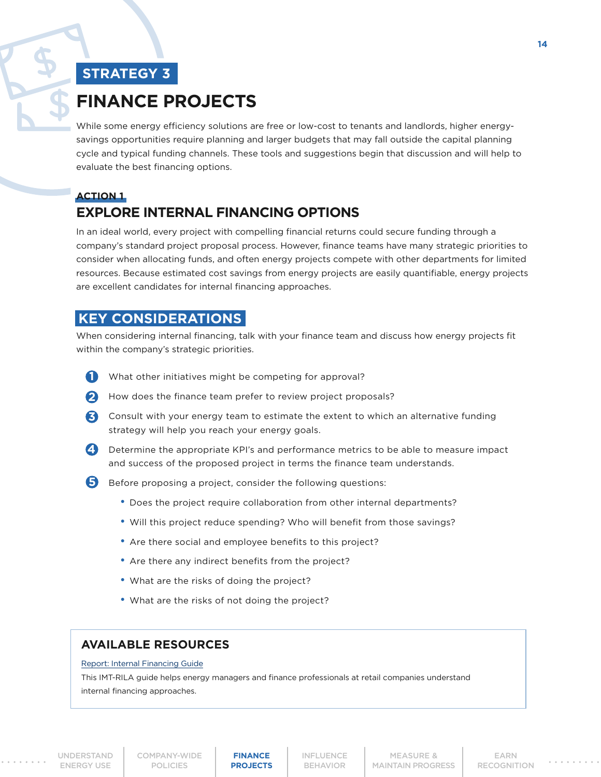# <span id="page-13-0"></span>**FINANCE PROJECTS**

While some energy efficiency solutions are free or low-cost to tenants and landlords, higher energysavings opportunities require planning and larger budgets that may fall outside the capital planning cycle and typical funding channels. These tools and suggestions begin that discussion and will help to evaluate the best financing options.

## **ACTION 1 EXPLORE INTERNAL FINANCING OPTIONS**

In an ideal world, every project with compelling financial returns could secure funding through a company's standard project proposal process. However, finance teams have many strategic priorities to consider when allocating funds, and often energy projects compete with other departments for limited resources. Because estimated cost savings from energy projects are easily quantifiable, energy projects are excellent candidates for internal financing approaches.

## **KEY CONSIDERATIONS**

When considering internal financing, talk with your finance team and discuss how energy projects fit within the company's strategic priorities.

- What other initiatives might be competing for approval? **1**
- 2 How does the finance team prefer to review project proposals?
- Consult with your energy team to estimate the extent to which an alternative funding **3** strategy will help you reach your energy goals.
- 
- **4** Determine the appropriate KPI's and performance metrics to be able to measure impact and success of the proposed project in terms the finance team understands.
- **5** Before proposing a project, consider the following questions:
	- Does the project require collaboration from other internal departments?
	- Will this project reduce spending? Who will benefit from those savings?
	- Are there social and employee benefits to this project?
	- Are there any indirect benefits from the project?
	- What are the risks of doing the project?
	- What are the risks of not doing the project?

## **AVAILABLE RESOURCES**

#### [Report: Internal Financing Guide](https://www.imt.org/wp-content/uploads/2018/02/Internal_Finance_Guide.pdf)

This IMT-RILA guide helps energy managers and finance professionals at retail companies understand internal financing approaches.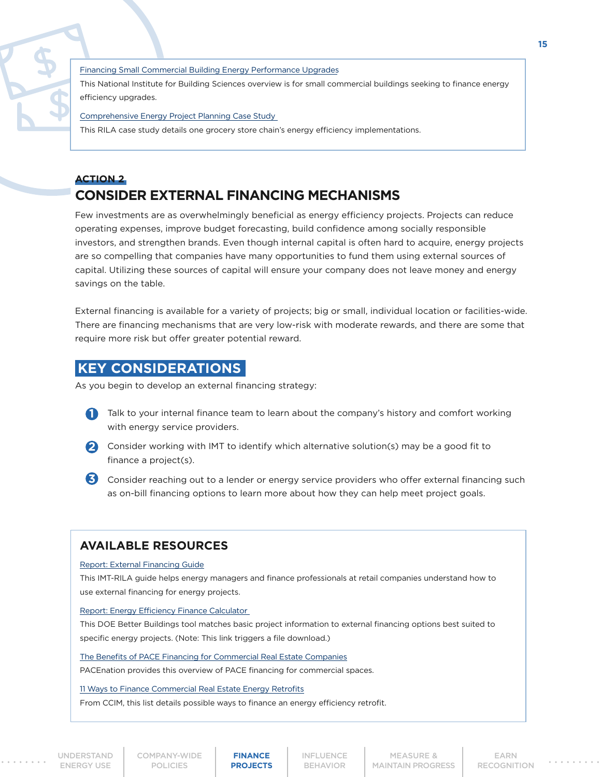[Financing Small Commercial Building Energy Performance Upgrades](https://cdn.ymaws.com/www.nibs.org/resource/resmgr/CC/SmallRetrofitExecSumm.pdf)

This National Institute for Building Sciences overview is for small commercial buildings seeking to finance energy efficiency upgrades.

[Comprehensive Energy Project Planning Case Study](https://rilastagemedia.blob.core.windows.net/rila-web/rila.web/media/media/pdfs/sustainability/food-lion-im-project-planning.pdf)

This RILA case study details one grocery store chain's energy efficiency implementations.

## **ACTION 2 CONSIDER EXTERNAL FINANCING MECHANISMS**

Few investments are as overwhelmingly beneficial as energy efficiency projects. Projects can reduce operating expenses, improve budget forecasting, build confidence among socially responsible investors, and strengthen brands. Even though internal capital is often hard to acquire, energy projects are so compelling that companies have many opportunities to fund them using external sources of capital. Utilizing these sources of capital will ensure your company does not leave money and energy savings on the table.

External financing is available for a variety of projects; big or small, individual location or facilities-wide. There are financing mechanisms that are very low-risk with moderate rewards, and there are some that require more risk but offer greater potential reward.

## **KEY CONSIDERATIONS**

As you begin to develop an external financing strategy:

- **1** Talk to your internal finance team to learn about the company's history and comfort working with energy service providers.
- 2 Consider working with IMT to identify which alternative solution(s) may be a good fit to finance a project(s).
- Consider reaching out to a lender or energy service providers who offer external financing such **3**as on-bill financing options to learn more about how they can help meet project goals.

## **AVAILABLE RESOURCES**

#### [Report: External Financing Guide](https://rilastagemedia.blob.core.windows.net/rila-web/rila.web/media/media/pdfs/sustainability/external-financing-guide.pdf)

This IMT-RILA guide helps energy managers and finance professionals at retail companies understand how to use external financing for energy projects.

#### [Report: Energy Efficiency Finance Calculator](http://betterbuildingssolutioncenter.energy.gov/sites/default/files/news/attachments/RILA EE Finance Calculator.xlsx)

This DOE Better Buildings tool matches basic project information to external financing options best suited to specific energy projects. (Note: This link triggers a file download.)

#### [The Benefits of PACE Financing for Commercial Real Estate Companies](http://pacenation.us/wp-content/uploads/2016/05/The-benefits-of-PACE-for-CRE-FINAL-1.pdf)

PACEnation provides this overview of PACE financing for commercial spaces.

#### [11 Ways to Finance Commercial Real Estate Energy Retrofits](https://www.ccim.com/cire-magazine/articles/323112/2013/07/11-ways-finance-commercial-real-estate-energy-retrofits/?gmSsoPc=1)

From CCIM, this list details possible ways to finance an energy efficiency retrofit.

[UNDERSTAND](#page-3-0)  ENERGY USE

[COMPANY-WIDE](#page-7-0) POLICIES

**FINANCE PROJECTS** 

[INFLUENCE](#page-16-0) BEHAVIOR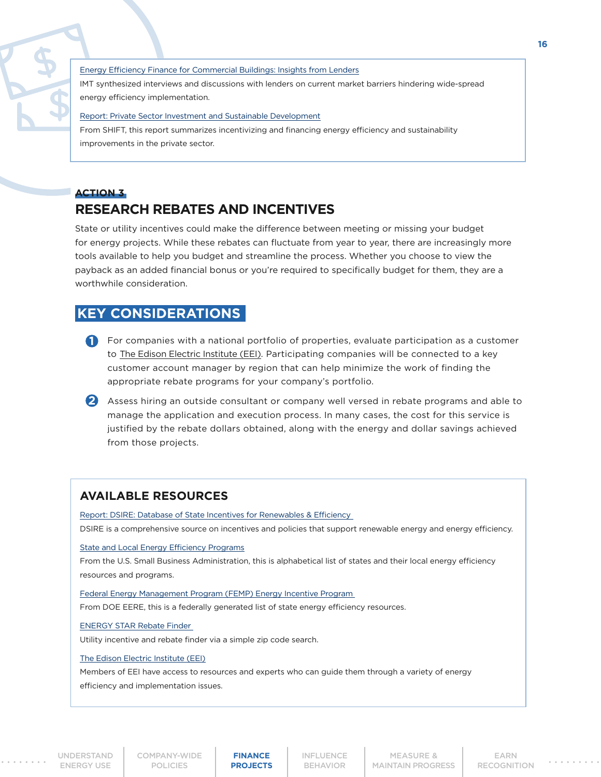[Energy Efficiency Finance for Commercial Buildings: Insights from Lenders](http://www.imt.org/uploads/resources/files/Energy_Efficiency_Finance_for_Commercial_Buildings_Insights_From_Lenders.pdf)

IMT synthesized interviews and discussions with lenders on current market barriers hindering wide-spread energy efficiency implementation.

#### [Report: Private Sector Investment and Sustainable Development](https://shift.tools/iframe/1402?ssl=true)

From SHIFT, this report summarizes incentivizing and financing energy efficiency and sustainability improvements in the private sector.

## **ACTION 3 RESEARCH REBATES AND INCENTIVES**

State or utility incentives could make the difference between meeting or missing your budget for energy projects. While these rebates can fluctuate from year to year, there are increasingly more tools available to help you budget and streamline the process. Whether you choose to view the payback as an added financial bonus or you're required to specifically budget for them, they are a worthwhile consideration.

## **KEY CONSIDERATIONS**

- **1** For companies with a national portfolio of properties, evaluate participation as a customer to [The Edison Electric Institute \(EEI\).](http://www.eei.org/Pages/default.aspx) Participating companies will be connected to a key customer account manager by region that can help minimize the work of finding the appropriate rebate programs for your company's portfolio.
- 2 Assess hiring an outside consultant or company well versed in rebate programs and able to manage the application and execution process. In many cases, the cost for this service is justified by the rebate dollars obtained, along with the energy and dollar savings achieved from those projects.

## **AVAILABLE RESOURCES**

[Report: DSIRE: Database of State Incentives for Renewables & Efficiency](http://www.dsireusa.org/) DSIRE is a comprehensive source on incentives and policies that support renewable energy and energy efficiency.

#### [State and Local Energy Efficiency Programs](https://www.sba.gov/content/state-and-local-energy-efficiency-programs)

From the U.S. Small Business Administration, this is alphabetical list of states and their local energy efficiency resources and programs.

[Federal Energy Management Program \(FEMP\) Energy Incentive Program](https://energy.gov/eere/femp/energy-incentive-programs)  From DOE EERE, this is a federally generated list of state energy efficiency resources.

#### [ENERGY STAR Rebate Finder](https://www.energystar.gov/rebate-finder)

Utility incentive and rebate finder via a simple zip code search.

#### [The Edison Electric Institute \(EEI\)](http://www.eei.org/resourcesandmedia/Pages/default.aspx)

Members of EEI have access to resources and experts who can guide them through a variety of energy efficiency and implementation issues.

[COMPANY-WIDE](#page-7-0) POLICIES

**FINANCE PROJECTS** 

[INFLUENCE](#page-16-0) BEHAVIOR

MEASURE & **[MAINTAIN PROGRESS](#page-19-0)**  **16**

EARN [RECOGNITION](#page-21-0)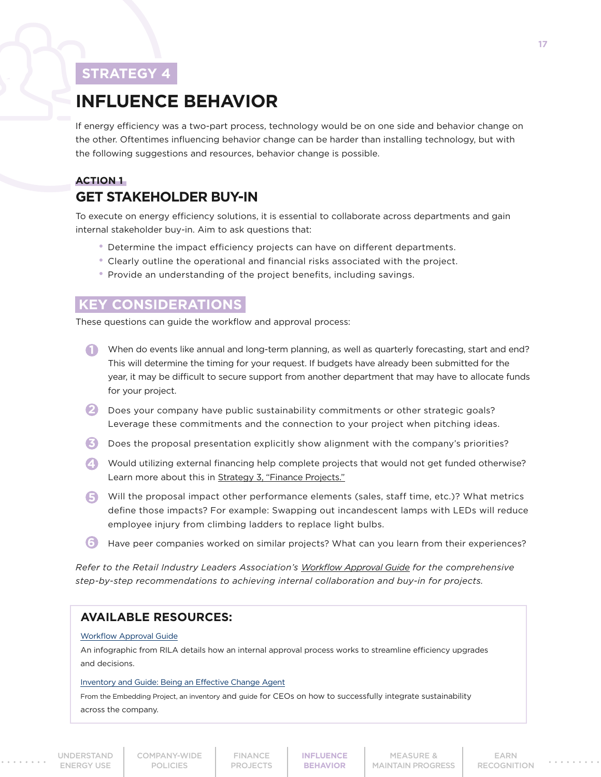# <span id="page-16-0"></span>**INFLUENCE BEHAVIOR**

If energy efficiency was a two-part process, technology would be on one side and behavior change on the other. Oftentimes influencing behavior change can be harder than installing technology, but with the following suggestions and resources, behavior change is possible.

## **ACTION 1 GET STAKEHOLDER BUY-IN**

To execute on energy efficiency solutions, it is essential to collaborate across departments and gain internal stakeholder buy-in. Aim to ask questions that:

- Determine the impact efficiency projects can have on different departments.
- Clearly outline the operational and financial risks associated with the project.
- Provide an understanding of the project benefits, including savings.

## **KEY CONSIDERATIONS**

These questions can guide the workflow and approval process:

- **1** When do events like annual and long-term planning, as well as quarterly forecasting, start and end? This will determine the timing for your request. If budgets have already been submitted for the year, it may be difficult to secure support from another department that may have to allocate funds for your project.
- 2 Does your company have public sustainability commitments or other strategic goals? Leverage these commitments and the connection to your project when pitching ideas.
- **3** Does the proposal presentation explicitly show alignment with the company's priorities?
- **4** Would utilizing external financing help complete projects that would not get funded otherwise? Learn more about this in [Strategy 3, "Finance Projects."](#page-13-0)
- Will the proposal impact other performance elements (sales, staff time, etc.)? What metrics **5**define those impacts? For example: Swapping out incandescent lamps with LEDs will reduce employee injury from climbing ladders to replace light bulbs.
- Have peer companies worked on similar projects? What can you learn from their experiences? **6**

*Refer to the Retail Industry Leaders Association's [Workflow Approval Guide](https://rilastagemedia.blob.core.windows.net/rila-web/rila.web/media/media/pdfs/sustainability/workflow-and-approval-guide.pdf) for the comprehensive step-by-step recommendations to achieving internal collaboration and buy-in for projects.*

## **AVAILABLE RESOURCES:**

#### [Workflow Approval Guide](https://rilastagemedia.blob.core.windows.net/rila-web/rila.web/media/media/pdfs/sustainability/workflow-and-approval-guide.pdf)

An infographic from RILA details how an internal approval process works to streamline efficiency upgrades and decisions.

#### [Inventory and Guide: Being an Effective Change Agent](https://embeddingproject.org/resources/being-an-effective-change-agent)

From the Embedding Project, an in[ventory](https://embeddingproject.org/system/attachments/documents/000/000/061/original/EP_Being_an_Effective_Change_Agent_Personal_Inventory.pdf?1490983265) and [guide](https://embeddingproject.org/system/attachments/documents/000/000/060/original/EP_Being_an_Effective_Change_Agent_Guide.pdf?1490918554) for CEOs on how to successfully integrate sustainability across the company.

**INFLUENCE BEHAVIOR**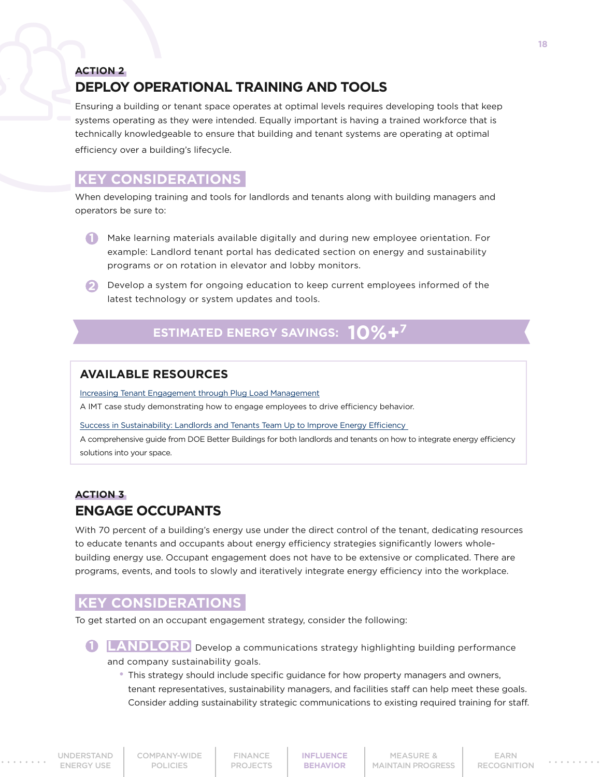## **ACTION 2 DEPLOY OPERATIONAL TRAINING AND TOOLS**

Ensuring a building or tenant space operates at optimal levels requires developing tools that keep systems operating as they were intended. Equally important is having a trained workforce that is technically knowledgeable to ensure that building and tenant systems are operating at optimal efficiency over a building's lifecycle.

## **KEY CONSIDERATIONS**

When developing training and tools for landlords and tenants along with building managers and operators be sure to:

- **1** Make learning materials available digitally and during new employee orientation. For example: Landlord tenant portal has dedicated section on energy and sustainability programs or on rotation in elevator and lobby monitors.
- **2** Develop a system for ongoing education to keep current employees informed of the latest technology or system updates and tools.

## **ESTIMATED ENERGY SAVINGS:**  $10\% +7$

## **AVAILABLE RESOURCES**

[Increasing Tenant Engagement through Plug Load Management](http://www.imt.org/uploads/resources/files/Increasing_Tenant_Engagement_Through_Plug_Load_Management.pdf)

A IMT case study demonstrating how to engage employees to drive efficiency behavior.

[Success in Sustainability: Landlords and Tenants Team Up to Improve Energy Efficiency](https://betterbuildingssolutioncenter.energy.gov/sites/default/files/attachments/EPA_ES_Tenant_Report_508.pdf)

A comprehensive guide from DOE Better Buildings for both landlords and tenants on how to integrate energy efficiency solutions into your space.

## **ACTION 3 ENGAGE OCCUPANTS**

With 70 percent of a building's energy use under the direct control of the tenant, dedicating resources to educate tenants and occupants about energy efficiency strategies significantly lowers wholebuilding energy use. Occupant engagement does not have to be extensive or complicated. There are programs, events, and tools to slowly and iteratively integrate energy efficiency into the workplace.

## **KEY CONSIDERATIONS**

To get started on an occupant engagement strategy, consider the following:

**LANDLORD** Develop a communications strategy highlighting building performance and company sustainability goals.

 • This strategy should include specific guidance for how property managers and owners, tenant representatives, sustainability managers, and facilities staff can help meet these goals. Consider adding sustainability strategic communications to existing required training for staff.

[COMPANY-WIDE](#page-7-0) POLICIES

**[INFLUENCE](#page-16-0) BEHAVIOR**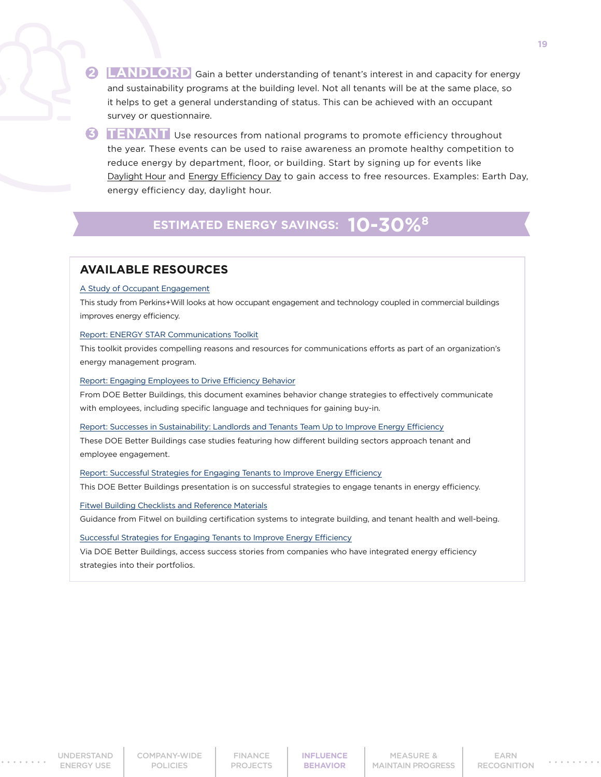**2 LANDLORD** Gain a better understanding of tenant's interest in and capacity for energy and sustainability programs at the building level. Not all tenants will be at the same place, so it helps to get a general understanding of status. This can be achieved with an occupant survey or questionnaire.

**3 TENANT** Use resources from national programs to promote efficiency throughout the year. These events can be used to raise awareness an promote healthy competition to reduce energy by department, floor, or building. Start by signing up for events like [Daylight Hour](https://daylighthour.org/) and [Energy Efficiency Day](https://www.energyefficiencyday.org/) to gain access to free resources. Examples: Earth Day, energy efficiency day, daylight hour.

## **ESTIMATED ENERGY SAVINGS: 10-30%8**

#### **AVAILABLE RESOURCES**

#### [A Study of Occupant Engagement](http://research.perkinswill.com/articles/a-study-of-occupant-engagement-energy-reduction-using-an-online-competition-dashboard/)

This study from Perkins+Will looks at how occupant engagement and technology coupled in commercial buildings improves energy efficiency.

#### [Report: ENERGY STAR Communications Toolkit](https://www.energystar.gov/buildings/about-us/how-can-we-help-you/communicate/energy-star-communications-toolkit)

This toolkit provides compelling reasons and resources for communications efforts as part of an organization's energy management program.

#### [Report: Engaging Employees to Drive Efficiency Behavior](https://betterbuildingssolutioncenter.energy.gov/sites/default/files/Thurs_Engaging Employees to Drive Efficiency Behavior.pdf)

From DOE Better Buildings, this document examines behavior change strategies to effectively communicate with employees, including specific language and techniques for gaining buy-in.

[Report: Successes in Sustainability: Landlords and Tenants Team Up to Improve Energy Efficiency](https://betterbuildingssolutioncenter.energy.gov/sites/default/files/attachments/EPA_ES_Tenant_Report_508.pdf)

These DOE Better Buildings case studies featuring how different building sectors approach tenant and employee engagement.

#### [Report: Successful Strategies for Engaging Tenants to Improve Energy Efficiency](https://betterbuildingssolutioncenter.energy.gov/sites/default/files/attachments/team-breakout-market-solutions-tenant-engagement-may-29.pdf)

This DOE Better Buildings presentation is on successful strategies to engage tenants in energy efficiency.

#### [Fitwel Building Checklists and Reference Materials](https://fitwel.org/resources)

Guidance from Fitwel on building certification systems to integrate building, and tenant health and well-being.

[Successful Strategies for Engaging Tenants to Improve Energy Efficiency](https://betterbuildingssolutioncenter.energy.gov/sites/default/files/attachments/team-breakout-market-solutions-tenant-engagement-may-29.pdf)

Via DOE Better Buildings, access success stories from companies who have integrated energy efficiency strategies into their portfolios.

[UNDERSTAND](#page-3-0)  ENERGY USE

[COMPANY-WIDE](#page-7-0) POLICIES

FINANCE [PROJECTS](#page-13-0) **[INFLUENCE](#page-16-0) BEHAVIOR**

MEASURE & [MAINTAIN PROGRESS](#page-19-0)

EARN [RECOGNITION](#page-21-0) **19**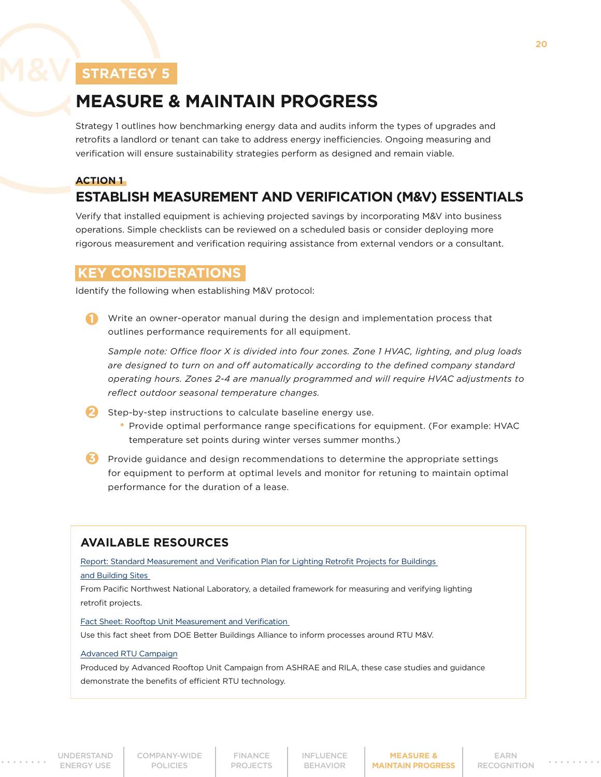# <span id="page-19-0"></span>**MEASURE & MAINTAIN PROGRESS**

Strategy 1 outlines how benchmarking energy data and audits inform the types of upgrades and retrofits a landlord or tenant can take to address energy inefficiencies. Ongoing measuring and verification will ensure sustainability strategies perform as designed and remain viable.

#### **ACTION 1**

# **ESTABLISH MEASUREMENT AND VERIFICATION (M&V) ESSENTIALS**

Verify that installed equipment is achieving projected savings by incorporating M&V into business operations. Simple checklists can be reviewed on a scheduled basis or consider deploying more rigorous measurement and verification requiring assistance from external vendors or a consultant.

## **KEY CONSIDERATIONS**

Identify the following when establishing M&V protocol:

Write an owner-operator manual during the design and implementation process that outlines performance requirements for all equipment.

*Sample note: Office floor X is divided into four zones. Zone 1 HVAC, lighting, and plug loads are designed to turn on and off automatically according to the defined company standard operating hours. Zones 2-4 are manually programmed and will require HVAC adjustments to reflect outdoor seasonal temperature changes.*

- Step-by-step instructions to calculate baseline energy use. **2**
	- Provide optimal performance range specifications for equipment. (For example: HVAC temperature set points during winter verses summer months.)
- **3** Provide guidance and design recommendations to determine the appropriate settings for equipment to perform at optimal levels and monitor for retuning to maintain optimal performance for the duration of a lease.

## **AVAILABLE RESOURCES**

[Report: Standard Measurement and Verification Plan for Lighting Retrofit Projects for Buildings](https://betterbuildingssolutioncenter.energy.gov/sites/default/files/attachments/lighting_measurement_evaluation_protocol.pdf) 

#### [and Building Sites](https://betterbuildingssolutioncenter.energy.gov/sites/default/files/attachments/lighting_measurement_evaluation_protocol.pdf)

From Pacific Northwest National Laboratory, a detailed framework for measuring and verifying lighting retrofit projects.

#### [Fact Sheet: Rooftop Unit Measurement and Verification](https://betterbuildingssolutioncenter.energy.gov/sites/default/files/attachments/RTU_MandV_Fact_Sheet.pdf)

Use this fact sheet from DOE Better Buildings Alliance to inform processes around RTU M&V.

#### [Advanced RTU Campaign](http://www.advancedrtu.org/case-studies--guidance.html)

Produced by Advanced Rooftop Unit Campaign from ASHRAE and RILA, these case studies and guidance demonstrate the benefits of efficient RTU technology.

[COMPANY-WIDE](#page-7-0) POLICIES

FINANCE PROJECTS

[INFLUENCE](#page-16-0) BEHAVIOR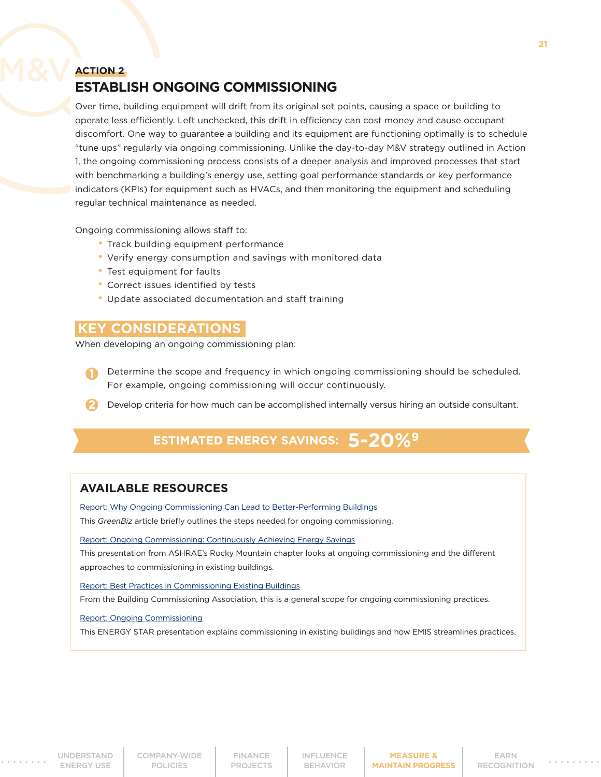## **ACTION 2 ESTABLISH ONGOING COMMISSIONING**

Over time, building equipment will drift from its original set points, causing a space or building to operate less efficiently. Left unchecked, this drift in efficiency can cost money and cause occupant discomfort. One way to guarantee a building and its equipment are functioning optimally is to schedule "tune ups" regularly via ongoing commissioning. Unlike the day-to-day M&V strategy outlined in Action 1, the ongoing commissioning process consists of a deeper analysis and improved processes that start with benchmarking a building's energy use, setting goal performance standards or key performance indicators (KPIs) for equipment such as HVACs, and then monitoring the equipment and scheduling regular technical maintenance as needed.

Ongoing commissioning allows staff to:

- Track building equipment performance
- Verify energy consumption and savings with monitored data
- Test equipment for faults
- Correct issues identified by tests
- Update associated documentation and staff training

#### **KEY CONSIDERATIONS**

When developing an ongoing commissioning plan:

- Determine the scope and frequency in which ongoing commissioning should be scheduled. For example, ongoing commissioning will occur continuously.
- 2 Develop criteria for how much can be accomplished internally versus hiring an outside consultant.

# **ESTIMATED ENERGY SAVINGS: 5-20%9**

#### **AVAILABLE RESOURCES**

[Report: Why Ongoing Commissioning Can Lead to Better-Performing Buildings](https://www.greenbiz.com/article/why-ongoing-commissioning-can-lead-better-performing-buildings)

This *GreenBiz* article briefly outlines the steps needed for ongoing commissioning.

[Report: Ongoing Commissioning: Continuously Achieving Energy Savings](http://rockymtnashrae.com/downloads/2014_Technical_Conference/ongoing_cx_with_fdd___upkeep_iconergy.pdf)

This presentation from ASHRAE's Rocky Mountain chapter looks at ongoing commissioning and the different approaches to commissioning in existing buildings.

#### [Report: Best Practices in Commissioning Existing Buildings](http://www.bcxa.org/wp-content/pdf/BCA-Best-Practices-Commissioning-Existing-Construction.pdf)

From the Building Commissioning Association, this is a general scope for ongoing commissioning practices.

#### [Report: Ongoing Commissioning](https://www.energystar.gov/buildings/service-providers/design/step-step-process/commissioning)

This ENERGY STAR presentation explains commissioning in existing buildings and how EMIS streamlines practices.

[COMPANY-WIDE](#page-7-0) POLICIES

FINANCE PROJECTS

[INFLUENCE](#page-16-0) BEHAVIOR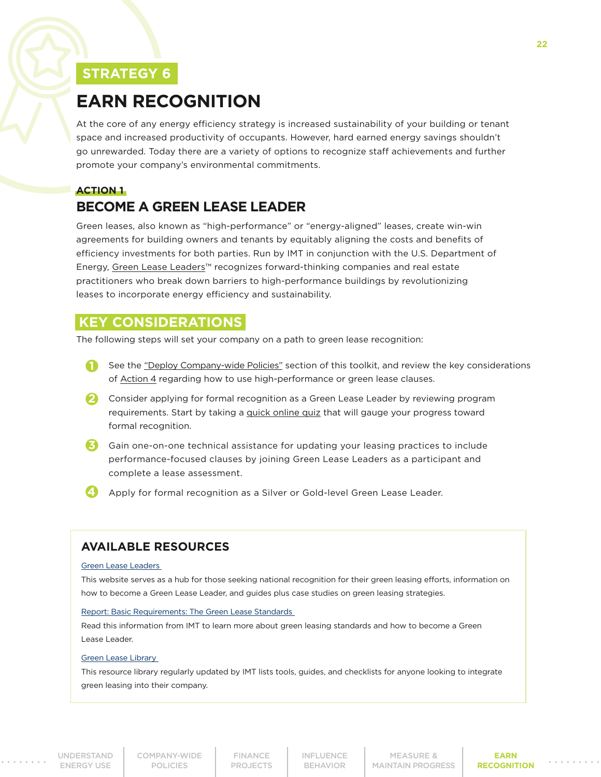# <span id="page-21-0"></span>**EARN RECOGNITION**

At the core of any energy efficiency strategy is increased sustainability of your building or tenant space and increased productivity of occupants. However, hard earned energy savings shouldn't go unrewarded. Today there are a variety of options to recognize staff achievements and further promote your company's environmental commitments.

# **ACTION 1**

# **BECOME A GREEN LEASE LEADER**

Green leases, also known as "high-performance" or "energy-aligned" leases, create win-win agreements for building owners and tenants by equitably aligning the costs and benefits of efficiency investments for both parties. Run by IMT in conjunction with the U.S. Department of Energy, [Green Lease Leaders](http://www.greenleaseleaders.com)™ recognizes forward-thinking companies and real estate practitioners who break down barriers to high-performance buildings by revolutionizing leases to incorporate energy efficiency and sustainability.

## **KEY CONSIDERATIONS**

The following steps will set your company on a path to green lease recognition:

- **1** See the ["Deploy Company-wide Policies"](#page-7-0) section of this toolkit, and review the key considerations of [Action 4](#page-10-0) regarding how to use high-performance or green lease clauses.
- 2 Consider applying for formal recognition as a Green Lease Leader by reviewing program requirements. Start by taking a [quick online quiz](https://www.greenleaseleaders.com/lease-audit-tool/) that will gauge your progress toward formal recognition.
- **3** Gain one-on-one technical assistance for updating your leasing practices to include performance-focused clauses by joining Green Lease Leaders as a participant and complete a lease assessment.
- Apply for formal recognition as a Silver or Gold-level Green Lease Leader. **4**

## **AVAILABLE RESOURCES**

#### [Green Lease Leaders](http://www.greenleaseleaders.com/)

This website serves as a hub for those seeking national recognition for their green leasing efforts, information on how to become a Green Lease Leader, and guides plus case studies on green leasing strategies.

#### [Report: Basic Requirements: The Green Lease Standards](https://www.greenleaseleaders.com/program-requirements/)

Read this information from IMT to learn more about green leasing standards and how to become a Green Lease Leader.

#### [Green Lease Library](http://www.greenleaselibrary.com/)

This resource library regularly updated by IMT lists tools, guides, and checklists for anyone looking to integrate green leasing into their company.

[UNDERSTAND](#page-3-0)  ENERGY USE

[COMPANY-WIDE](#page-7-0) POLICIES

FINANCE PROJECTS

[INFLUENCE](#page-16-0) BEHAVIOR

MEASURE & **[MAINTAIN PROGRESS](#page-19-0)** 

**EARN RECOGNITION**